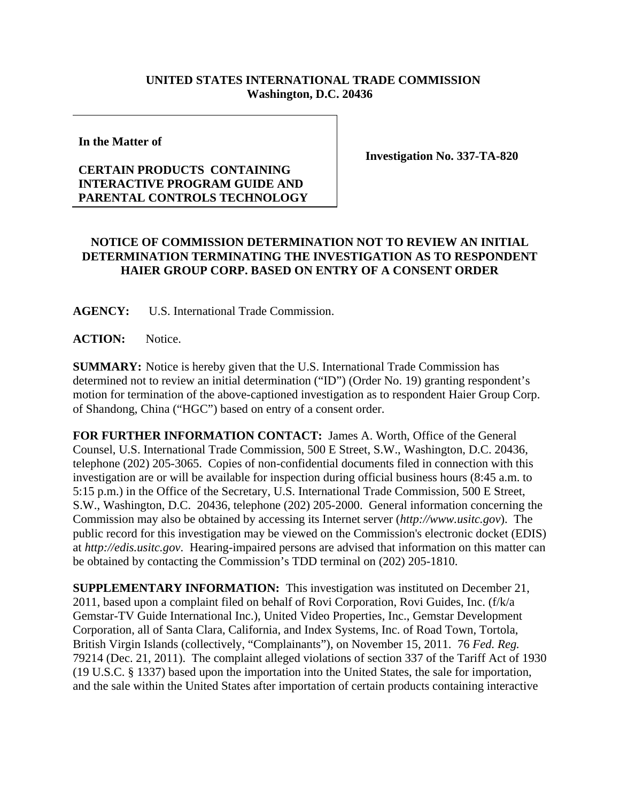## **UNITED STATES INTERNATIONAL TRADE COMMISSION Washington, D.C. 20436**

**In the Matter of** 

## **CERTAIN PRODUCTS CONTAINING INTERACTIVE PROGRAM GUIDE AND PARENTAL CONTROLS TECHNOLOGY**

**Investigation No. 337-TA-820** 

## **NOTICE OF COMMISSION DETERMINATION NOT TO REVIEW AN INITIAL DETERMINATION TERMINATING THE INVESTIGATION AS TO RESPONDENT HAIER GROUP CORP. BASED ON ENTRY OF A CONSENT ORDER**

**AGENCY:** U.S. International Trade Commission.

ACTION: Notice.

**SUMMARY:** Notice is hereby given that the U.S. International Trade Commission has determined not to review an initial determination ("ID") (Order No. 19) granting respondent's motion for termination of the above-captioned investigation as to respondent Haier Group Corp. of Shandong, China ("HGC") based on entry of a consent order.

**FOR FURTHER INFORMATION CONTACT:** James A. Worth, Office of the General Counsel, U.S. International Trade Commission, 500 E Street, S.W., Washington, D.C. 20436, telephone (202) 205-3065. Copies of non-confidential documents filed in connection with this investigation are or will be available for inspection during official business hours (8:45 a.m. to 5:15 p.m.) in the Office of the Secretary, U.S. International Trade Commission, 500 E Street, S.W., Washington, D.C. 20436, telephone (202) 205-2000. General information concerning the Commission may also be obtained by accessing its Internet server (*http://www.usitc.gov*). The public record for this investigation may be viewed on the Commission's electronic docket (EDIS) at *http://edis.usitc.gov*. Hearing-impaired persons are advised that information on this matter can be obtained by contacting the Commission's TDD terminal on (202) 205-1810.

**SUPPLEMENTARY INFORMATION:** This investigation was instituted on December 21, 2011, based upon a complaint filed on behalf of Rovi Corporation, Rovi Guides, Inc. (f/k/a Gemstar-TV Guide International Inc.), United Video Properties, Inc., Gemstar Development Corporation, all of Santa Clara, California, and Index Systems, Inc. of Road Town, Tortola, British Virgin Islands (collectively, "Complainants"), on November 15, 2011. 76 *Fed. Reg.*  79214 (Dec. 21, 2011). The complaint alleged violations of section 337 of the Tariff Act of 1930 (19 U.S.C. § 1337) based upon the importation into the United States, the sale for importation, and the sale within the United States after importation of certain products containing interactive